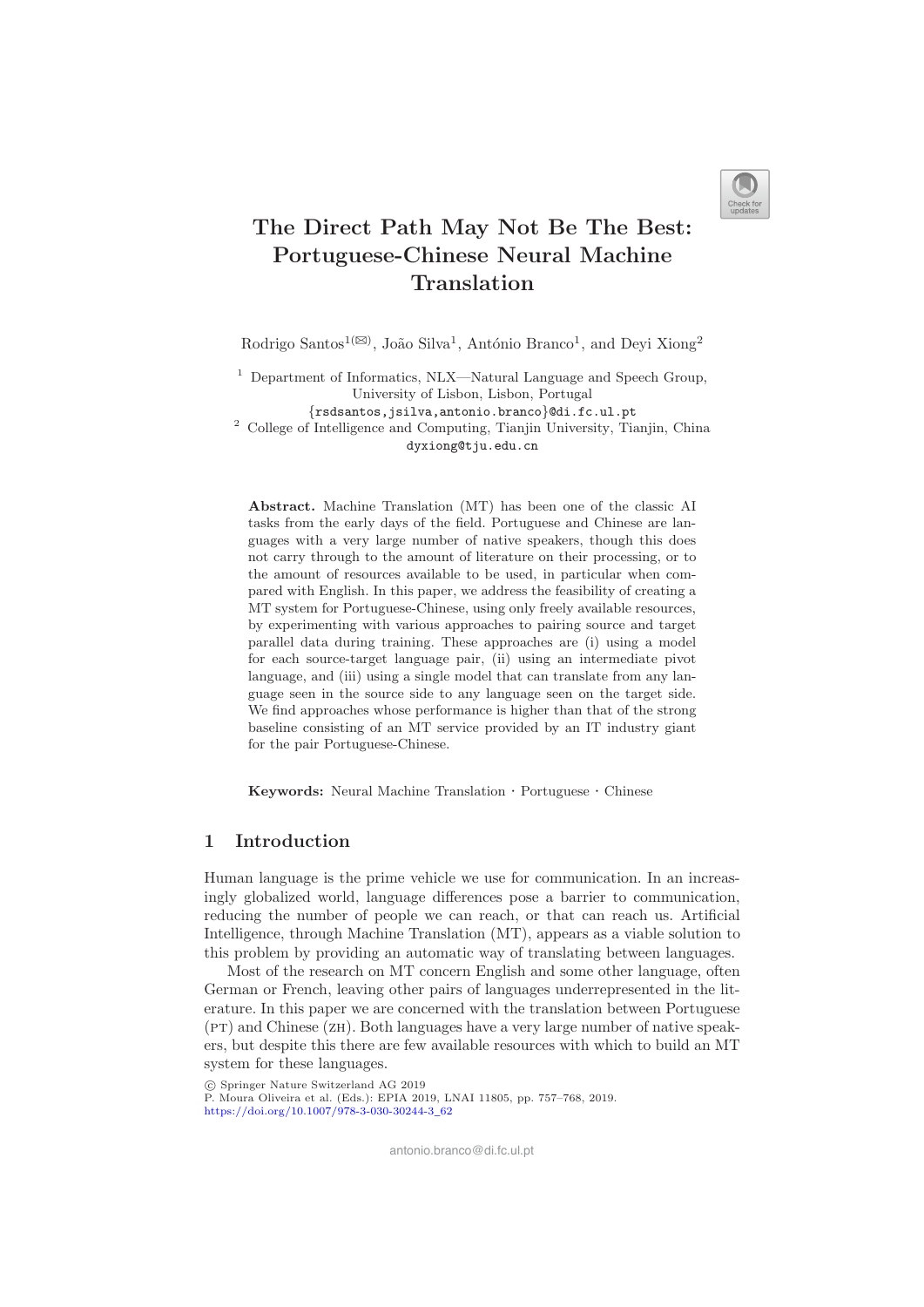

# The Direct Path May Not Be The Best: Portuguese-Chinese Neural Machine Translation

Rodrigo Santos<sup>1( $\boxtimes$ )</sup>, João Silva<sup>1</sup>, António Branco<sup>1</sup>, and Devi Xiong<sup>2</sup>

<sup>1</sup> Department of Informatics, NLX—Natural Language and Speech Group, University of Lisbon, Lisbon, Portugal

{rsdsantos,jsilva,antonio.branco}@di.fc.ul.pt <sup>2</sup> College of Intelligence and Computing, Tianjin University, Tianjin, China dyxiong@tju.edu.cn

Abstract. Machine Translation (MT) has been one of the classic AI tasks from the early days of the field. Portuguese and Chinese are languages with a very large number of native speakers, though this does not carry through to the amount of literature on their processing, or to the amount of resources available to be used, in particular when compared with English. In this paper, we address the feasibility of creating a MT system for Portuguese-Chinese, using only freely available resources, by experimenting with various approaches to pairing source and target parallel data during training. These approaches are (i) using a model for each source-target language pair, (ii) using an intermediate pivot language, and (iii) using a single model that can translate from any language seen in the source side to any language seen on the target side. We find approaches whose performance is higher than that of the strong baseline consisting of an MT service provided by an IT industry giant for the pair Portuguese-Chinese.

Keywords: Neural Machine Translation · Portuguese · Chinese

# 1 Introduction

Human language is the prime vehicle we use for communication. In an increasingly globalized world, language differences pose a barrier to communication, reducing the number of people we can reach, or that can reach us. Artificial Intelligence, through Machine Translation (MT), appears as a viable solution to this problem by providing an automatic way of translating between languages.

Most of the research on MT concern English and some other language, often German or French, leaving other pairs of languages underrepresented in the literature. In this paper we are concerned with the translation between Portuguese (pt) and Chinese (zh). Both languages have a very large number of native speakers, but despite this there are few available resources with which to build an MT system for these languages.

-c Springer Nature Switzerland AG 2019 P. Moura Oliveira et al. (Eds.): EPIA 2019, LNAI 11805, pp. 757–768, 2019. https://doi.org/10.1007/978-3-030-30244-3\_62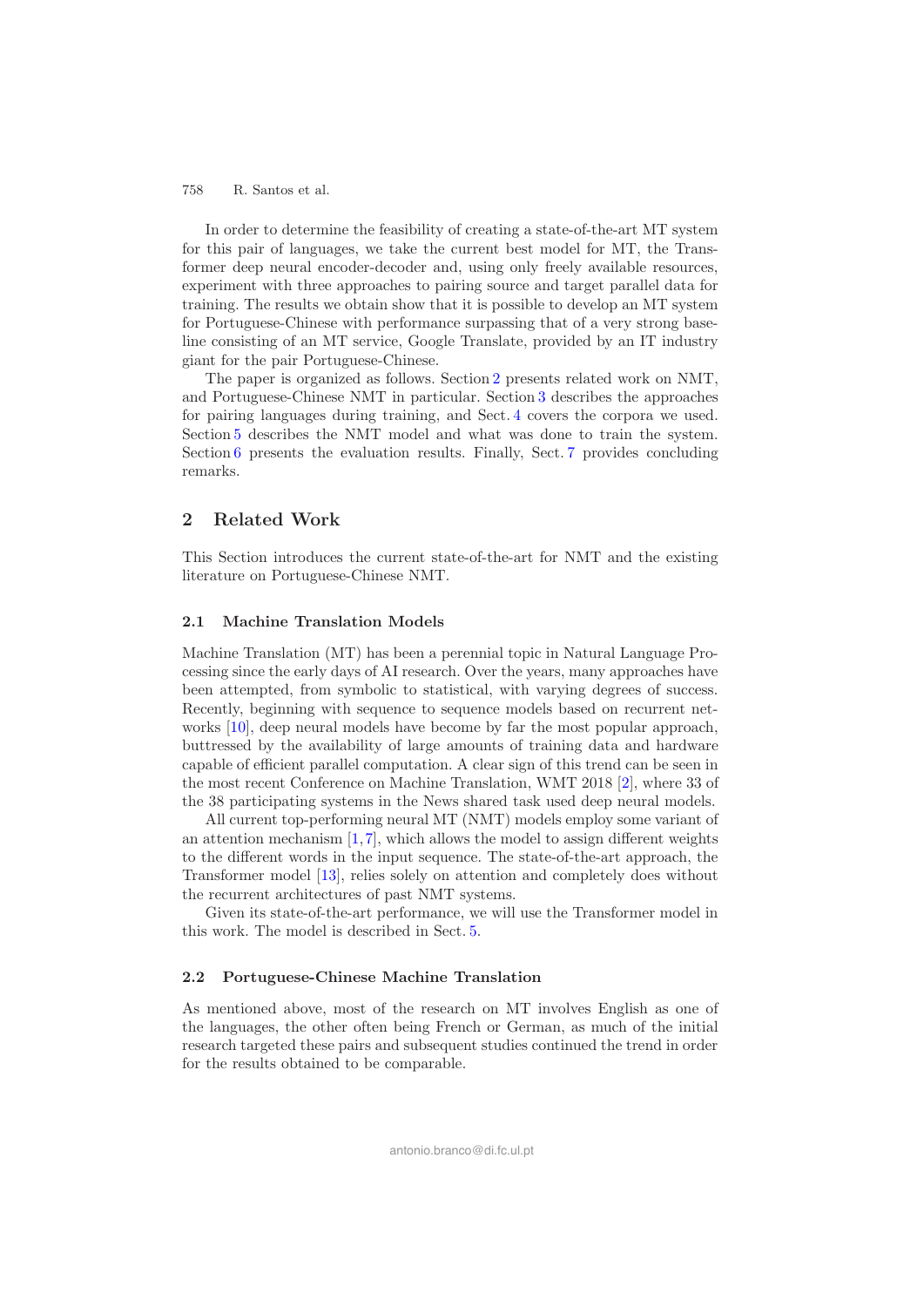In order to determine the feasibility of creating a state-of-the-art MT system for this pair of languages, we take the current best model for MT, the Transformer deep neural encoder-decoder and, using only freely available resources, experiment with three approaches to pairing source and target parallel data for training. The results we obtain show that it is possible to develop an MT system for Portuguese-Chinese with performance surpassing that of a very strong baseline consisting of an MT service, Google Translate, provided by an IT industry giant for the pair Portuguese-Chinese.

The paper is organized as follows. Section 2 presents related work on NMT, and Portuguese-Chinese NMT in particular. Section 3 describes the approaches for pairing languages during training, and Sect. 4 covers the corpora we used. Section 5 describes the NMT model and what was done to train the system. Section 6 presents the evaluation results. Finally, Sect. 7 provides concluding remarks.

# 2 Related Work

This Section introduces the current state-of-the-art for NMT and the existing literature on Portuguese-Chinese NMT.

## 2.1 Machine Translation Models

Machine Translation (MT) has been a perennial topic in Natural Language Processing since the early days of AI research. Over the years, many approaches have been attempted, from symbolic to statistical, with varying degrees of success. Recently, beginning with sequence to sequence models based on recurrent networks [10], deep neural models have become by far the most popular approach, buttressed by the availability of large amounts of training data and hardware capable of efficient parallel computation. A clear sign of this trend can be seen in the most recent Conference on Machine Translation, WMT 2018 [2], where 33 of the 38 participating systems in the News shared task used deep neural models.

All current top-performing neural MT (NMT) models employ some variant of an attention mechanism  $[1,7]$ , which allows the model to assign different weights to the different words in the input sequence. The state-of-the-art approach, the Transformer model [13], relies solely on attention and completely does without the recurrent architectures of past NMT systems.

Given its state-of-the-art performance, we will use the Transformer model in this work. The model is described in Sect. 5.

## 2.2 Portuguese-Chinese Machine Translation

As mentioned above, most of the research on MT involves English as one of the languages, the other often being French or German, as much of the initial research targeted these pairs and subsequent studies continued the trend in order for the results obtained to be comparable.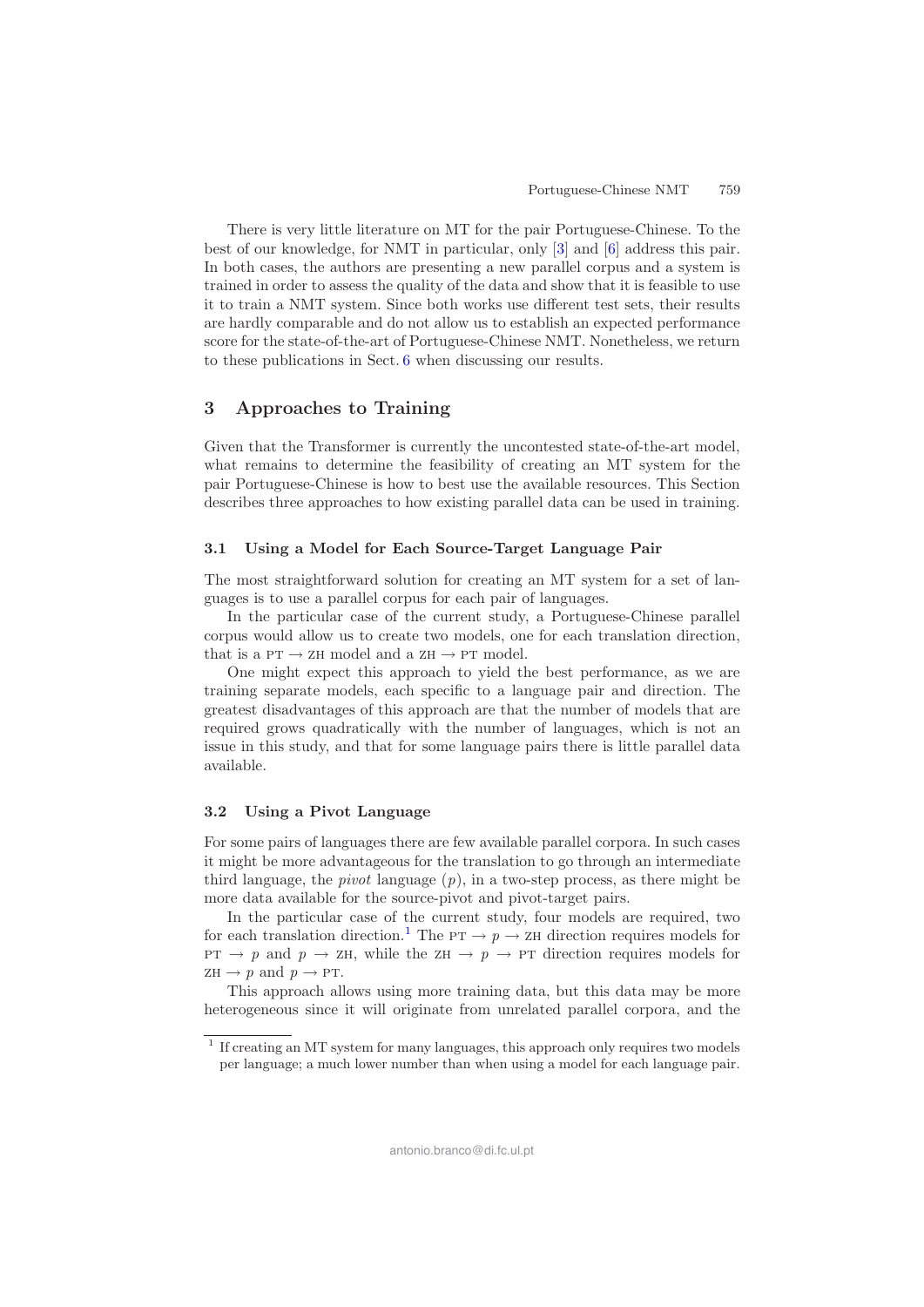There is very little literature on MT for the pair Portuguese-Chinese. To the best of our knowledge, for NMT in particular, only [3] and [6] address this pair. In both cases, the authors are presenting a new parallel corpus and a system is trained in order to assess the quality of the data and show that it is feasible to use it to train a NMT system. Since both works use different test sets, their results are hardly comparable and do not allow us to establish an expected performance score for the state-of-the-art of Portuguese-Chinese NMT. Nonetheless, we return to these publications in Sect. 6 when discussing our results.

## 3 Approaches to Training

Given that the Transformer is currently the uncontested state-of-the-art model, what remains to determine the feasibility of creating an MT system for the pair Portuguese-Chinese is how to best use the available resources. This Section describes three approaches to how existing parallel data can be used in training.

## 3.1 Using a Model for Each Source-Target Language Pair

The most straightforward solution for creating an MT system for a set of languages is to use a parallel corpus for each pair of languages.

In the particular case of the current study, a Portuguese-Chinese parallel corpus would allow us to create two models, one for each translation direction, that is a  $\text{PT} \rightarrow \text{ZH}$  model and a  $\text{ZH} \rightarrow \text{PT}$  model.

One might expect this approach to yield the best performance, as we are training separate models, each specific to a language pair and direction. The greatest disadvantages of this approach are that the number of models that are required grows quadratically with the number of languages, which is not an issue in this study, and that for some language pairs there is little parallel data available.

## 3.2 Using a Pivot Language

For some pairs of languages there are few available parallel corpora. In such cases it might be more advantageous for the translation to go through an intermediate third language, the *pivot* language  $(p)$ , in a two-step process, as there might be more data available for the source-pivot and pivot-target pairs.

In the particular case of the current study, four models are required, two for each translation direction.<sup>1</sup> The PT  $\rightarrow$  p  $\rightarrow$  zH direction requires models for  $PT \rightarrow p$  and  $p \rightarrow ZH$ , while the  $ZH \rightarrow p \rightarrow PT$  direction requires models for  $ZH \rightarrow p$  and  $p \rightarrow PT$ .

This approach allows using more training data, but this data may be more heterogeneous since it will originate from unrelated parallel corpora, and the

<sup>&</sup>lt;sup>1</sup> If creating an MT system for many languages, this approach only requires two models per language; a much lower number than when using a model for each language pair.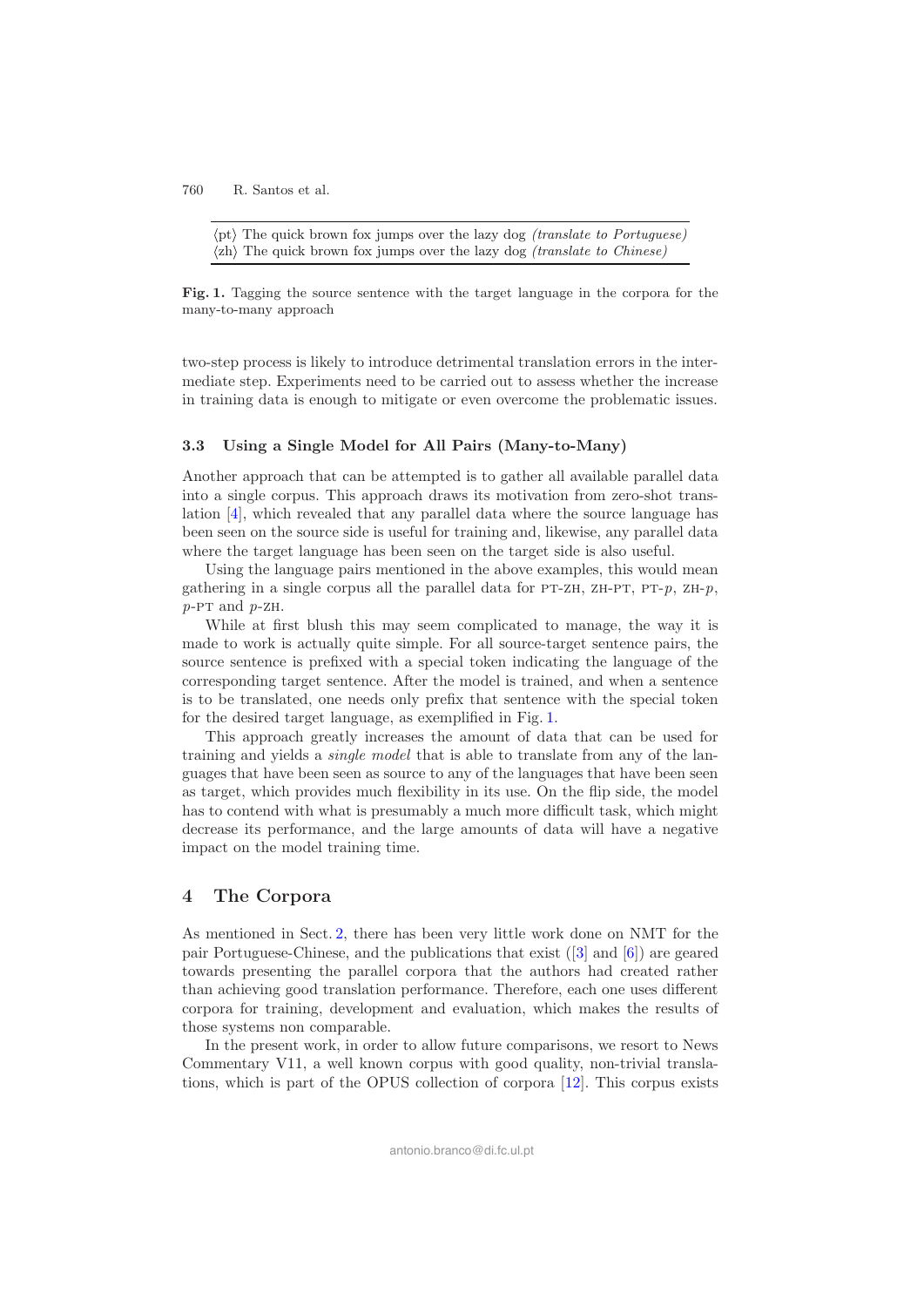$\langle \text{pt} \rangle$  The quick brown fox jumps over the lazy dog *(translate to Portuguese)*  $\langle$ zh $\rangle$  The quick brown fox jumps over the lazy dog *(translate to Chinese)* 

Fig. 1. Tagging the source sentence with the target language in the corpora for the many-to-many approach

two-step process is likely to introduce detrimental translation errors in the intermediate step. Experiments need to be carried out to assess whether the increase in training data is enough to mitigate or even overcome the problematic issues.

## 3.3 Using a Single Model for All Pairs (Many-to-Many)

Another approach that can be attempted is to gather all available parallel data into a single corpus. This approach draws its motivation from zero-shot translation [4], which revealed that any parallel data where the source language has been seen on the source side is useful for training and, likewise, any parallel data where the target language has been seen on the target side is also useful.

Using the language pairs mentioned in the above examples, this would mean gathering in a single corpus all the parallel data for PT-ZH, ZH-PT, PT- $p$ , ZH- $p$ ,  $p$ -PT and  $p$ -ZH.

While at first blush this may seem complicated to manage, the way it is made to work is actually quite simple. For all source-target sentence pairs, the source sentence is prefixed with a special token indicating the language of the corresponding target sentence. After the model is trained, and when a sentence is to be translated, one needs only prefix that sentence with the special token for the desired target language, as exemplified in Fig. 1.

This approach greatly increases the amount of data that can be used for training and yields a single model that is able to translate from any of the languages that have been seen as source to any of the languages that have been seen as target, which provides much flexibility in its use. On the flip side, the model has to contend with what is presumably a much more difficult task, which might decrease its performance, and the large amounts of data will have a negative impact on the model training time.

# 4 The Corpora

As mentioned in Sect. 2, there has been very little work done on NMT for the pair Portuguese-Chinese, and the publications that exist ([3] and [6]) are geared towards presenting the parallel corpora that the authors had created rather than achieving good translation performance. Therefore, each one uses different corpora for training, development and evaluation, which makes the results of those systems non comparable.

In the present work, in order to allow future comparisons, we resort to News Commentary V11, a well known corpus with good quality, non-trivial translations, which is part of the OPUS collection of corpora [12]. This corpus exists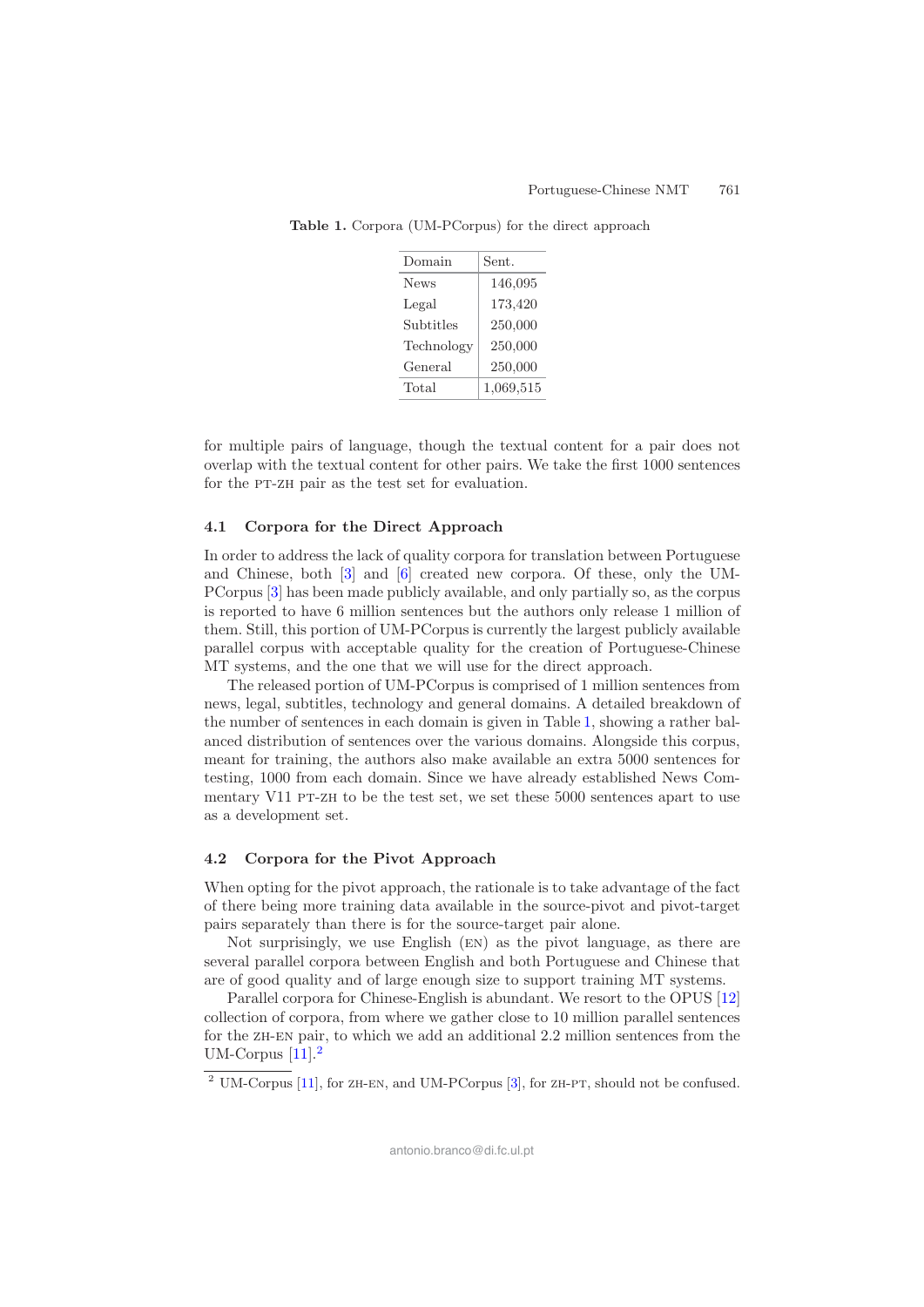| Domain      | Sent.     |
|-------------|-----------|
| <b>News</b> | 146,095   |
| Legal       | 173,420   |
| Subtitles   | 250,000   |
| Technology  | 250,000   |
| General     | 250,000   |
| Total       | 1,069,515 |

Table 1. Corpora (UM-PCorpus) for the direct approach

for multiple pairs of language, though the textual content for a pair does not overlap with the textual content for other pairs. We take the first 1000 sentences for the PT-ZH pair as the test set for evaluation.

## 4.1 Corpora for the Direct Approach

In order to address the lack of quality corpora for translation between Portuguese and Chinese, both [3] and [6] created new corpora. Of these, only the UM-PCorpus [3] has been made publicly available, and only partially so, as the corpus is reported to have 6 million sentences but the authors only release 1 million of them. Still, this portion of UM-PCorpus is currently the largest publicly available parallel corpus with acceptable quality for the creation of Portuguese-Chinese MT systems, and the one that we will use for the direct approach.

The released portion of UM-PCorpus is comprised of 1 million sentences from news, legal, subtitles, technology and general domains. A detailed breakdown of the number of sentences in each domain is given in Table 1, showing a rather balanced distribution of sentences over the various domains. Alongside this corpus, meant for training, the authors also make available an extra 5000 sentences for testing, 1000 from each domain. Since we have already established News Commentary V11 PT-ZH to be the test set, we set these 5000 sentences apart to use as a development set.

## 4.2 Corpora for the Pivot Approach

When opting for the pivot approach, the rationale is to take advantage of the fact of there being more training data available in the source-pivot and pivot-target pairs separately than there is for the source-target pair alone.

Not surprisingly, we use English (en) as the pivot language, as there are several parallel corpora between English and both Portuguese and Chinese that are of good quality and of large enough size to support training MT systems.

Parallel corpora for Chinese-English is abundant. We resort to the OPUS [12] collection of corpora, from where we gather close to 10 million parallel sentences for the zh-en pair, to which we add an additional 2.2 million sentences from the UM-Corpus  $[11]$ <sup>2</sup>

<sup>&</sup>lt;sup>2</sup> UM-Corpus [11], for zH-EN, and UM-PCorpus [3], for zH-PT, should not be confused.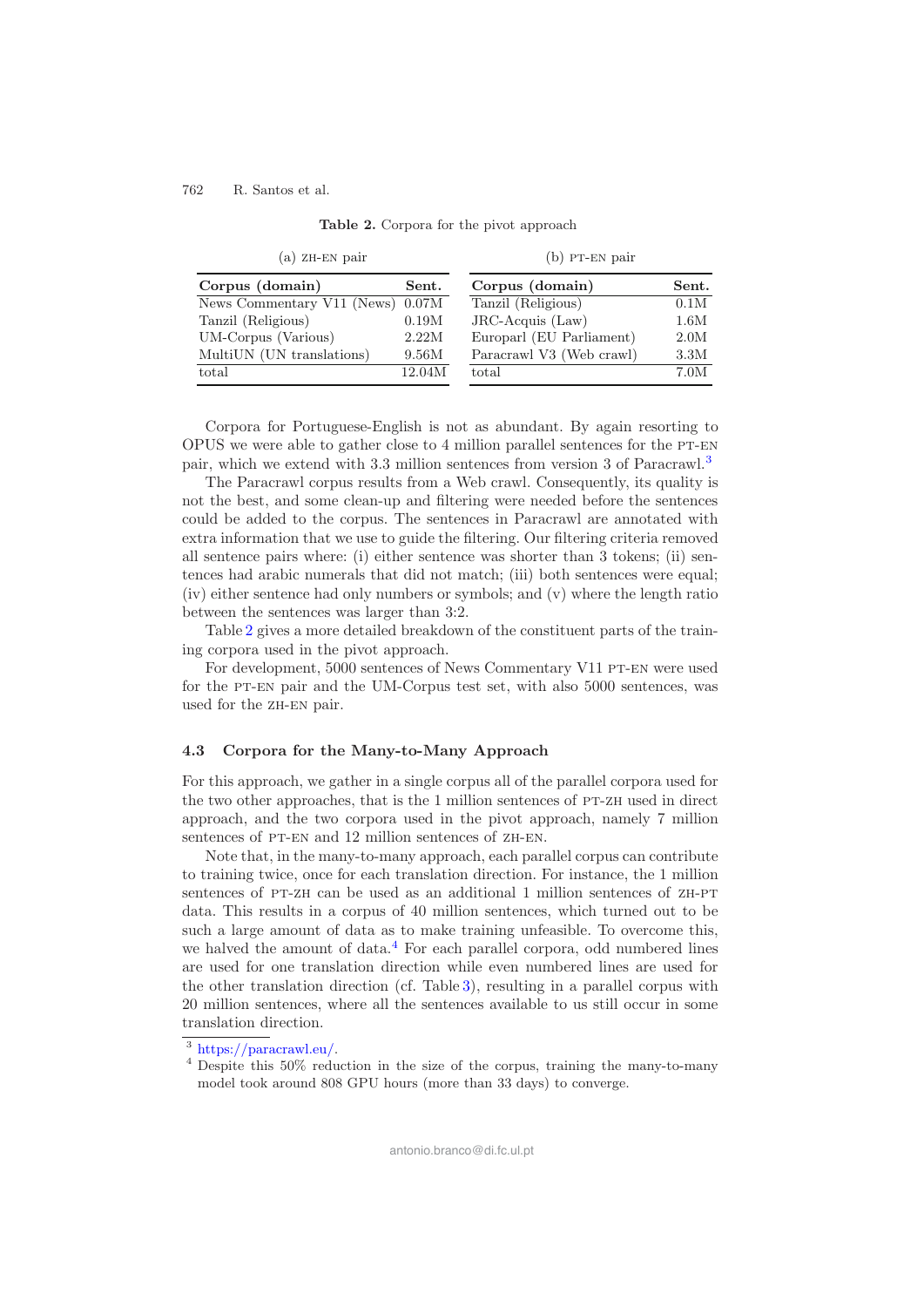|  |  |  |  | Table 2. Corpora for the pivot approach |
|--|--|--|--|-----------------------------------------|
|--|--|--|--|-----------------------------------------|

| (a) ZH-EN pair                   |        | (b) PT-EN pair           |       |  |
|----------------------------------|--------|--------------------------|-------|--|
| Corpus (domain)                  | Sent.  | Corpus (domain)          | Sent. |  |
| News Commentary V11 (News) 0.07M |        | Tanzil (Religious)       | 0.1M  |  |
| Tanzil (Religious)               | 0.19M  | $JRC$ -Acquis (Law)      | 1.6M  |  |
| UM-Corpus (Various)              | 2.22M  | Europarl (EU Parliament) | 2.0M  |  |
| MultiUN (UN translations)        | 9.56M  | Paracrawl V3 (Web crawl) | 3.3M  |  |
| total                            | 12.04M | total                    | 7.0M  |  |

Corpora for Portuguese-English is not as abundant. By again resorting to OPUS we were able to gather close to 4 million parallel sentences for the PT-EN pair, which we extend with 3.3 million sentences from version 3 of Paracrawl.<sup>3</sup>

The Paracrawl corpus results from a Web crawl. Consequently, its quality is not the best, and some clean-up and filtering were needed before the sentences could be added to the corpus. The sentences in Paracrawl are annotated with extra information that we use to guide the filtering. Our filtering criteria removed all sentence pairs where: (i) either sentence was shorter than 3 tokens; (ii) sentences had arabic numerals that did not match; (iii) both sentences were equal; (iv) either sentence had only numbers or symbols; and (v) where the length ratio between the sentences was larger than 3:2.

Table 2 gives a more detailed breakdown of the constituent parts of the training corpora used in the pivot approach.

For development, 5000 sentences of News Commentary V11 PT-EN were used for the PT-EN pair and the UM-Corpus test set, with also 5000 sentences, was used for the zh-en pair.

#### 4.3 Corpora for the Many-to-Many Approach

For this approach, we gather in a single corpus all of the parallel corpora used for the two other approaches, that is the 1 million sentences of PT-ZH used in direct approach, and the two corpora used in the pivot approach, namely 7 million sentences of PT-EN and 12 million sentences of ZH-EN.

Note that, in the many-to-many approach, each parallel corpus can contribute to training twice, once for each translation direction. For instance, the 1 million sentences of PT-ZH can be used as an additional 1 million sentences of ZH-PT data. This results in a corpus of 40 million sentences, which turned out to be such a large amount of data as to make training unfeasible. To overcome this, we halved the amount of data.<sup>4</sup> For each parallel corpora, odd numbered lines are used for one translation direction while even numbered lines are used for the other translation direction (cf. Table 3), resulting in a parallel corpus with 20 million sentences, where all the sentences available to us still occur in some translation direction.

<sup>3</sup> https://paracrawl.eu/.

<sup>4</sup> Despite this 50% reduction in the size of the corpus, training the many-to-many model took around 808 GPU hours (more than 33 days) to converge.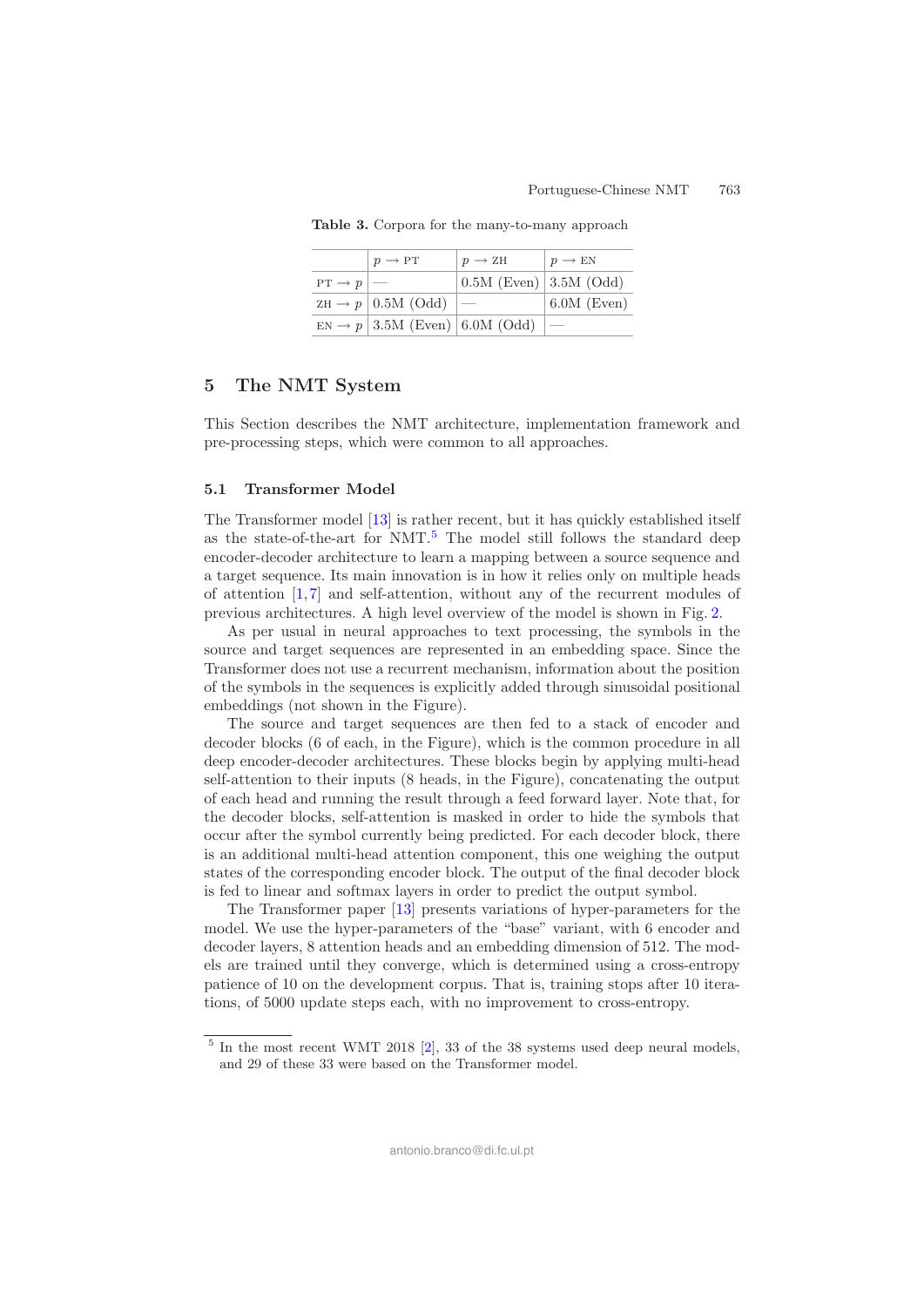Table 3. Corpora for the many-to-many approach

|                        | $p \rightarrow PT$                                              | $p \rightarrow ZH$       | $p \rightarrow EN$ |
|------------------------|-----------------------------------------------------------------|--------------------------|--------------------|
| $PT \rightarrow p$   — |                                                                 | $0.5M$ (Even) 3.5M (Odd) |                    |
|                        | $\text{ZH} \rightarrow p \mid 0.5\text{M} \text{ (Odd)} \mid$ — |                          | $6.0M$ (Even)      |
|                        | $EN \rightarrow p$ 3.5M (Even) 6.0M (Odd)                       |                          |                    |

## 5 The NMT System

This Section describes the NMT architecture, implementation framework and pre-processing steps, which were common to all approaches.

## 5.1 Transformer Model

The Transformer model [13] is rather recent, but it has quickly established itself as the state-of-the-art for  $NMT<sup>5</sup>$ . The model still follows the standard deep encoder-decoder architecture to learn a mapping between a source sequence and a target sequence. Its main innovation is in how it relies only on multiple heads of attention [1,7] and self-attention, without any of the recurrent modules of previous architectures. A high level overview of the model is shown in Fig. 2.

As per usual in neural approaches to text processing, the symbols in the source and target sequences are represented in an embedding space. Since the Transformer does not use a recurrent mechanism, information about the position of the symbols in the sequences is explicitly added through sinusoidal positional embeddings (not shown in the Figure).

The source and target sequences are then fed to a stack of encoder and decoder blocks (6 of each, in the Figure), which is the common procedure in all deep encoder-decoder architectures. These blocks begin by applying multi-head self-attention to their inputs (8 heads, in the Figure), concatenating the output of each head and running the result through a feed forward layer. Note that, for the decoder blocks, self-attention is masked in order to hide the symbols that occur after the symbol currently being predicted. For each decoder block, there is an additional multi-head attention component, this one weighing the output states of the corresponding encoder block. The output of the final decoder block is fed to linear and softmax layers in order to predict the output symbol.

The Transformer paper [13] presents variations of hyper-parameters for the model. We use the hyper-parameters of the "base" variant, with 6 encoder and decoder layers, 8 attention heads and an embedding dimension of 512. The models are trained until they converge, which is determined using a cross-entropy patience of 10 on the development corpus. That is, training stops after 10 iterations, of 5000 update steps each, with no improvement to cross-entropy.

 $5$  In the most recent WMT 2018 [2], 33 of the 38 systems used deep neural models, and 29 of these 33 were based on the Transformer model.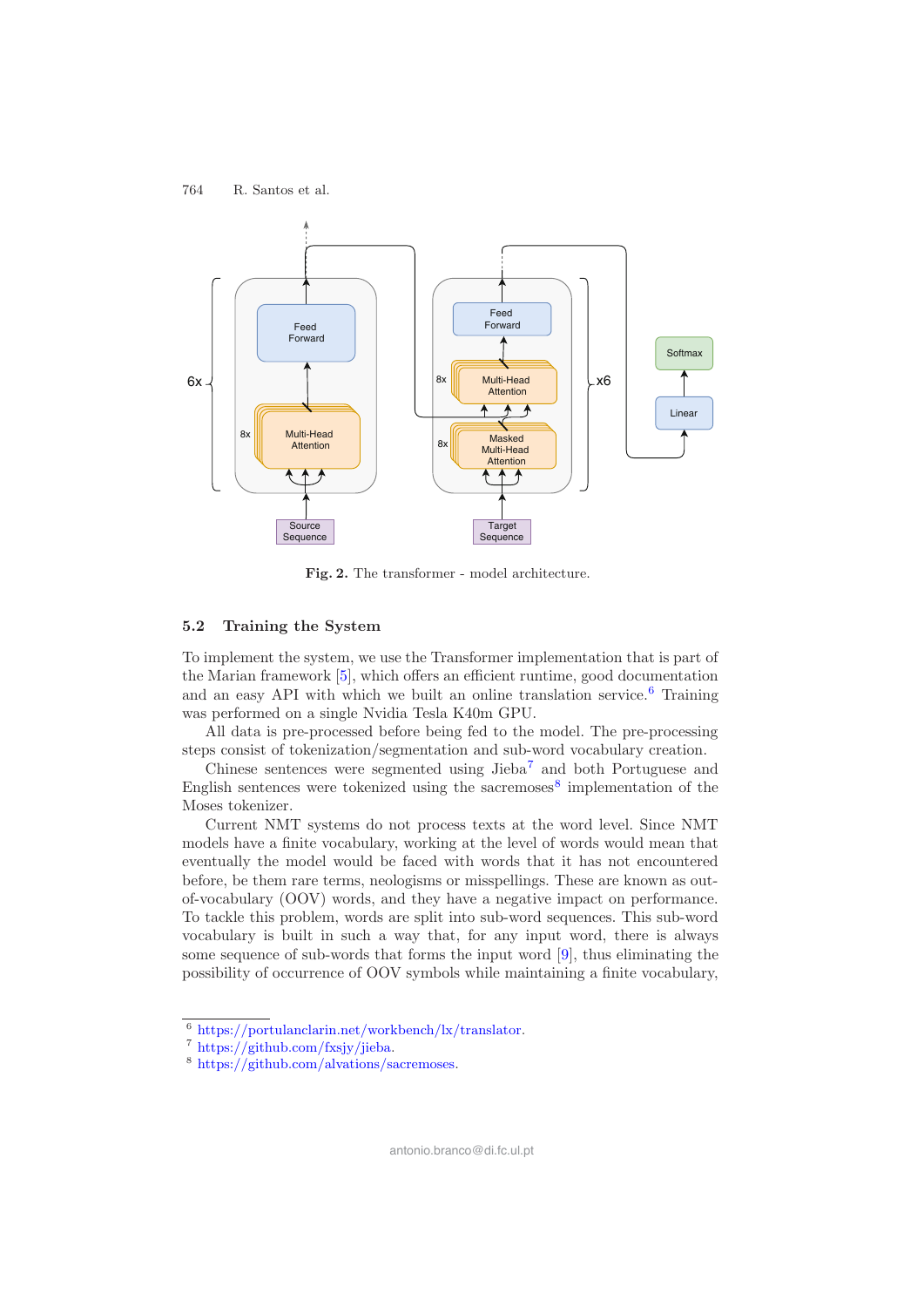

Fig. 2. The transformer - model architecture.

#### 5.2 Training the System

To implement the system, we use the Transformer implementation that is part of the Marian framework [5], which offers an efficient runtime, good documentation and an easy API with which we built an online translation service.<sup>6</sup> Training was performed on a single Nvidia Tesla K40m GPU.

All data is pre-processed before being fed to the model. The pre-processing steps consist of tokenization/segmentation and sub-word vocabulary creation.

Chinese sentences were segmented using  $Jieba<sup>7</sup>$  and both Portuguese and English sentences were tokenized using the sacremoses  $\delta$  implementation of the Moses tokenizer.

Current NMT systems do not process texts at the word level. Since NMT models have a finite vocabulary, working at the level of words would mean that eventually the model would be faced with words that it has not encountered before, be them rare terms, neologisms or misspellings. These are known as outof-vocabulary (OOV) words, and they have a negative impact on performance. To tackle this problem, words are split into sub-word sequences. This sub-word vocabulary is built in such a way that, for any input word, there is always some sequence of sub-words that forms the input word [9], thus eliminating the possibility of occurrence of OOV symbols while maintaining a finite vocabulary,

 $6 \text{ https://portularclarin.net/workbench/lx/translator}.$ 

<sup>7</sup> https://github.com/fxsjy/jieba.

<sup>8</sup> https://github.com/alvations/sacremoses.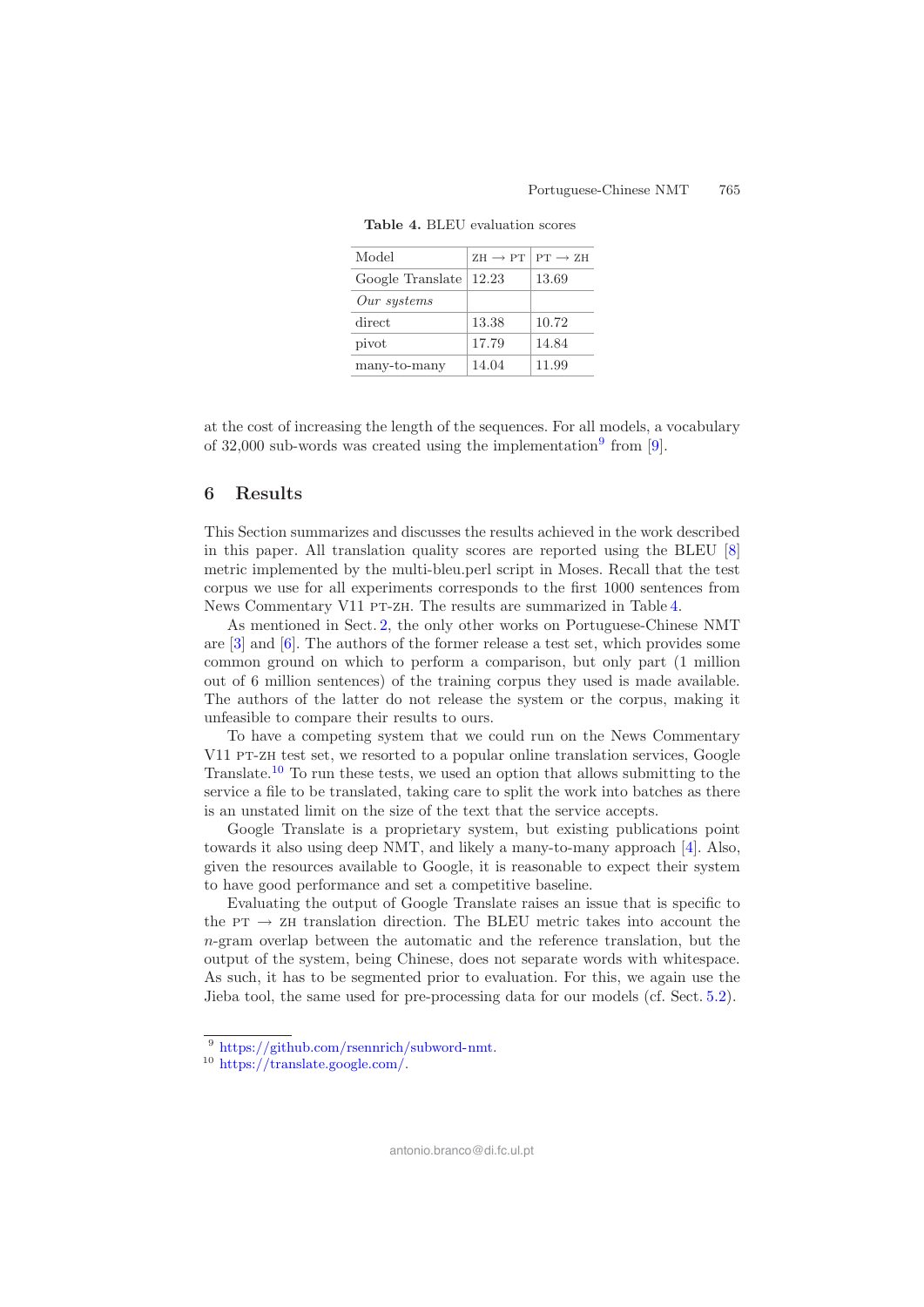| Model            | $ZH \rightarrow PT$ | $PT \rightarrow ZH$ |
|------------------|---------------------|---------------------|
| Google Translate | 12.23               | 13.69               |
| Our systems      |                     |                     |
| direct           | 13.38               | 10.72               |
| pivot            | 17.79               | 14.84               |
| many-to-many     | 14.04               | 11.99               |

Table 4. BLEU evaluation scores

at the cost of increasing the length of the sequences. For all models, a vocabulary of  $32,000$  sub-words was created using the implementation<sup>9</sup> from [9].

## 6 Results

This Section summarizes and discusses the results achieved in the work described in this paper. All translation quality scores are reported using the BLEU [8] metric implemented by the multi-bleu.perl script in Moses. Recall that the test corpus we use for all experiments corresponds to the first 1000 sentences from News Commentary V11 PT-ZH. The results are summarized in Table 4.

As mentioned in Sect. 2, the only other works on Portuguese-Chinese NMT are [3] and [6]. The authors of the former release a test set, which provides some common ground on which to perform a comparison, but only part (1 million out of 6 million sentences) of the training corpus they used is made available. The authors of the latter do not release the system or the corpus, making it unfeasible to compare their results to ours.

To have a competing system that we could run on the News Commentary V11 PT-ZH test set, we resorted to a popular online translation services, Google Translate.<sup>10</sup> To run these tests, we used an option that allows submitting to the service a file to be translated, taking care to split the work into batches as there is an unstated limit on the size of the text that the service accepts.

Google Translate is a proprietary system, but existing publications point towards it also using deep NMT, and likely a many-to-many approach [4]. Also, given the resources available to Google, it is reasonable to expect their system to have good performance and set a competitive baseline.

Evaluating the output of Google Translate raises an issue that is specific to the  $PT \rightarrow ZH$  translation direction. The BLEU metric takes into account the  $n$ -gram overlap between the automatic and the reference translation, but the output of the system, being Chinese, does not separate words with whitespace. As such, it has to be segmented prior to evaluation. For this, we again use the Jieba tool, the same used for pre-processing data for our models (cf. Sect. 5.2).

<sup>&</sup>lt;sup>9</sup> https://github.com/rsennrich/subword-nmt.

 $^{10}$ https://translate.google.com/.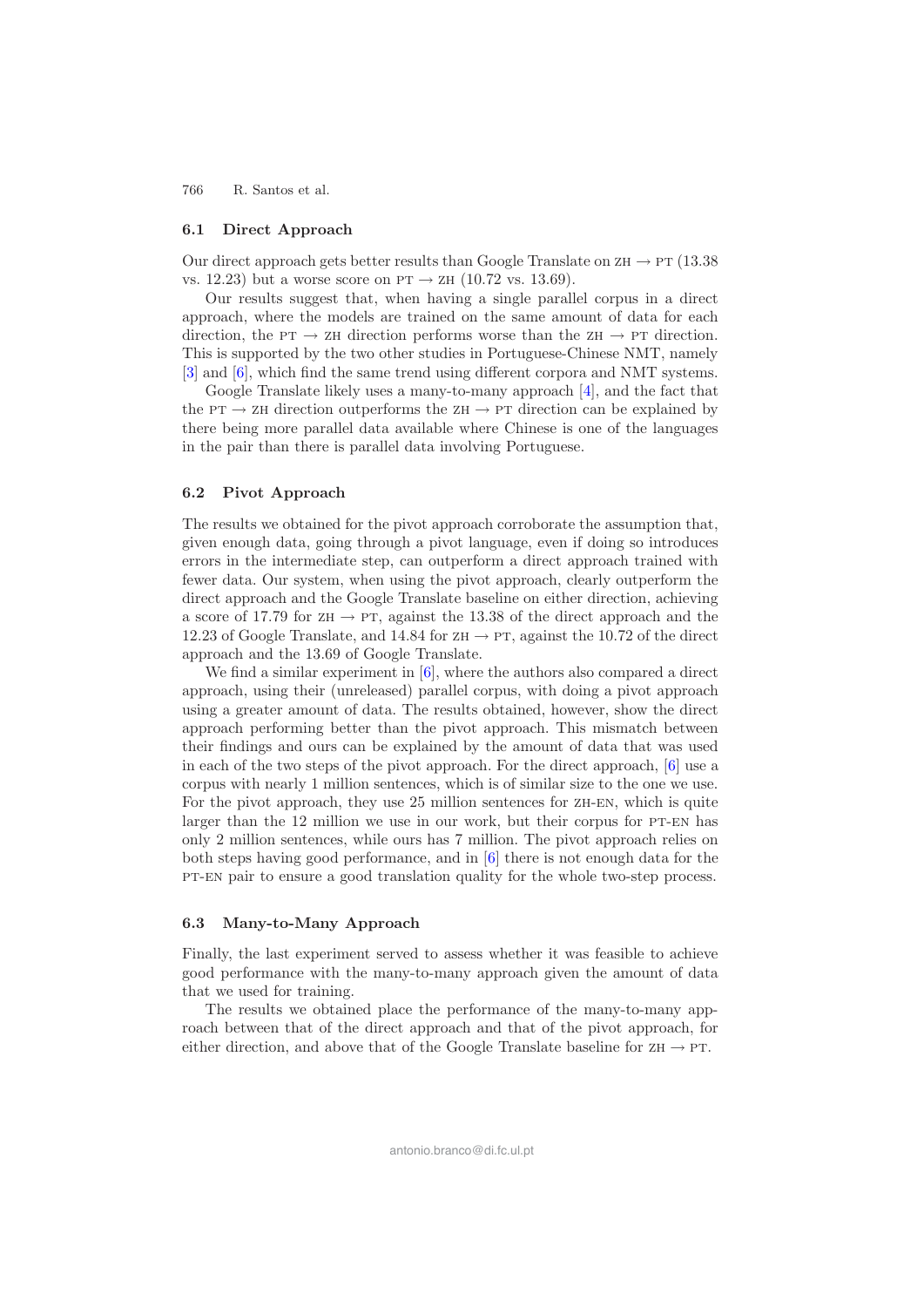#### 6.1 Direct Approach

Our direct approach gets better results than Google Translate on  $ZH \rightarrow PT$  (13.38) vs. 12.23) but a worse score on  $PT \rightarrow ZH$  (10.72 vs. 13.69).

Our results suggest that, when having a single parallel corpus in a direct approach, where the models are trained on the same amount of data for each direction, the  $PT \rightarrow ZH$  direction performs worse than the  $ZH \rightarrow PT$  direction. This is supported by the two other studies in Portuguese-Chinese NMT, namely [3] and [6], which find the same trend using different corpora and NMT systems.

Google Translate likely uses a many-to-many approach [4], and the fact that the  $PT \rightarrow ZH$  direction outperforms the  $ZH \rightarrow PT$  direction can be explained by there being more parallel data available where Chinese is one of the languages in the pair than there is parallel data involving Portuguese.

#### 6.2 Pivot Approach

The results we obtained for the pivot approach corroborate the assumption that, given enough data, going through a pivot language, even if doing so introduces errors in the intermediate step, can outperform a direct approach trained with fewer data. Our system, when using the pivot approach, clearly outperform the direct approach and the Google Translate baseline on either direction, achieving a score of 17.79 for  $ZH \rightarrow PT$ , against the 13.38 of the direct approach and the 12.23 of Google Translate, and 14.84 for  $ZH \rightarrow PT$ , against the 10.72 of the direct approach and the 13.69 of Google Translate.

We find a similar experiment in  $[6]$ , where the authors also compared a direct approach, using their (unreleased) parallel corpus, with doing a pivot approach using a greater amount of data. The results obtained, however, show the direct approach performing better than the pivot approach. This mismatch between their findings and ours can be explained by the amount of data that was used in each of the two steps of the pivot approach. For the direct approach, [6] use a corpus with nearly 1 million sentences, which is of similar size to the one we use. For the pivot approach, they use 25 million sentences for zh-en, which is quite larger than the 12 million we use in our work, but their corpus for PT-EN has only 2 million sentences, while ours has 7 million. The pivot approach relies on both steps having good performance, and in [6] there is not enough data for the PT-EN pair to ensure a good translation quality for the whole two-step process.

#### 6.3 Many-to-Many Approach

Finally, the last experiment served to assess whether it was feasible to achieve good performance with the many-to-many approach given the amount of data that we used for training.

The results we obtained place the performance of the many-to-many approach between that of the direct approach and that of the pivot approach, for either direction, and above that of the Google Translate baseline for  $ZH \rightarrow PT$ .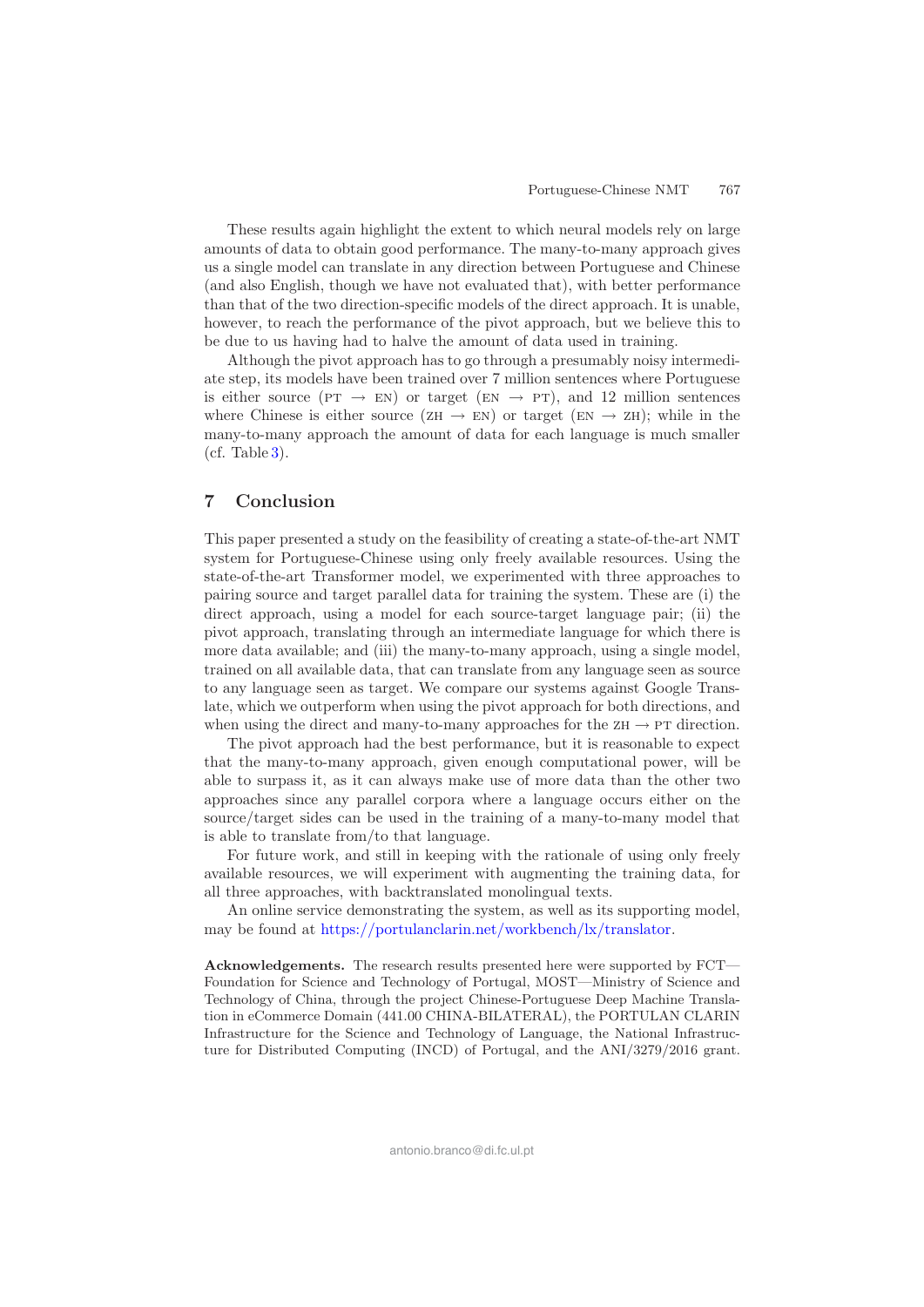These results again highlight the extent to which neural models rely on large amounts of data to obtain good performance. The many-to-many approach gives us a single model can translate in any direction between Portuguese and Chinese (and also English, though we have not evaluated that), with better performance than that of the two direction-specific models of the direct approach. It is unable, however, to reach the performance of the pivot approach, but we believe this to be due to us having had to halve the amount of data used in training.

Although the pivot approach has to go through a presumably noisy intermediate step, its models have been trained over 7 million sentences where Portuguese is either source ( $PT \rightarrow EN$ ) or target ( $EN \rightarrow PT$ ), and 12 million sentences where Chinese is either source ( $ZH \rightarrow EN$ ) or target ( $EN \rightarrow ZH$ ); while in the many-to-many approach the amount of data for each language is much smaller  $(cf. Table 3).$ 

# 7 Conclusion

This paper presented a study on the feasibility of creating a state-of-the-art NMT system for Portuguese-Chinese using only freely available resources. Using the state-of-the-art Transformer model, we experimented with three approaches to pairing source and target parallel data for training the system. These are (i) the direct approach, using a model for each source-target language pair; (ii) the pivot approach, translating through an intermediate language for which there is more data available; and (iii) the many-to-many approach, using a single model, trained on all available data, that can translate from any language seen as source to any language seen as target. We compare our systems against Google Translate, which we outperform when using the pivot approach for both directions, and when using the direct and many-to-many approaches for the  $ZH \rightarrow PT$  direction.

The pivot approach had the best performance, but it is reasonable to expect that the many-to-many approach, given enough computational power, will be able to surpass it, as it can always make use of more data than the other two approaches since any parallel corpora where a language occurs either on the source/target sides can be used in the training of a many-to-many model that is able to translate from/to that language.

For future work, and still in keeping with the rationale of using only freely available resources, we will experiment with augmenting the training data, for all three approaches, with backtranslated monolingual texts.

An online service demonstrating the system, as well as its supporting model, may be found at https://portulanclarin.net/workbench/lx/translator.

Acknowledgements. The research results presented here were supported by FCT— Foundation for Science and Technology of Portugal, MOST—Ministry of Science and Technology of China, through the project Chinese-Portuguese Deep Machine Translation in eCommerce Domain (441.00 CHINA-BILATERAL), the PORTULAN CLARIN Infrastructure for the Science and Technology of Language, the National Infrastructure for Distributed Computing (INCD) of Portugal, and the ANI/3279/2016 grant.